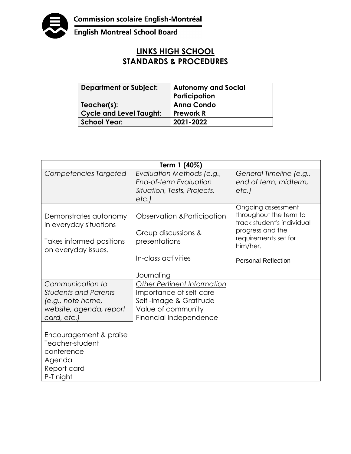

English Montreal School Board

## **LINKS HIGH SCHOOL STANDARDS & PROCEDURES**

| <b>Department or Subject:</b>  | <b>Autonomy and Social</b><br>Participation |
|--------------------------------|---------------------------------------------|
| Teacher(s):                    | <b>Anna Condo</b>                           |
| <b>Cycle and Level Taught:</b> | <b>Prework R</b>                            |
| School Year:                   | 2021-2022                                   |

| Term 1 (40%)                                                                                                   |                                                                                                                                         |                                                                                                                                                                  |  |
|----------------------------------------------------------------------------------------------------------------|-----------------------------------------------------------------------------------------------------------------------------------------|------------------------------------------------------------------------------------------------------------------------------------------------------------------|--|
| Competencies Targeted                                                                                          | Evaluation Methods (e.g.,<br><b>End-of-term Evaluation</b><br>Situation, Tests, Projects,<br>etc.                                       | General Timeline (e.g.,<br>end of term, midterm,<br>etc.                                                                                                         |  |
| Demonstrates autonomy<br>in everyday situations<br>Takes informed positions<br>on everyday issues.             | Observation & Participation<br>Group discussions &<br>presentations<br>In-class activities<br>Journaling                                | Ongoing assessment<br>throughout the term to<br>track student's individual<br>progress and the<br>requirements set for<br>him/her.<br><b>Personal Reflection</b> |  |
| Communication to<br><b>Students and Parents</b><br>(e.g., note home,<br>website, agenda, report<br>card, etc.) | <b>Other Pertinent Information</b><br>Importance of self-care<br>Self-Image & Gratitude<br>Value of community<br>Financial Independence |                                                                                                                                                                  |  |
| Encouragement & praise<br>Teacher-student<br>conference<br>Agenda<br>Report card<br>P-T night                  |                                                                                                                                         |                                                                                                                                                                  |  |